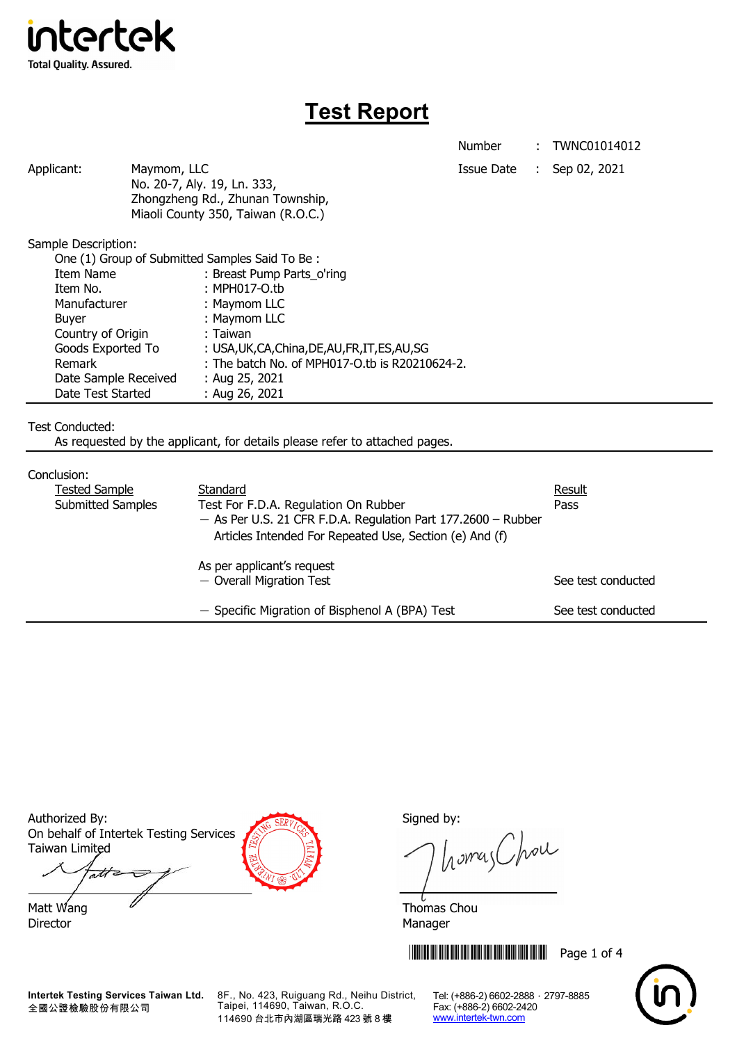

# **Test Report**

Number : TWNC01014012

Applicant: Maymom, LLC Maymon, ILC Applicant: Sep 02, 2021 No. 20-7, Aly. 19, Ln. 333, Zhongzheng Rd., Zhunan Township, Miaoli County 350, Taiwan (R.O.C.)

Sample Description:

| One (1) Group of Submitted Samples Said To Be: |                                                  |  |
|------------------------------------------------|--------------------------------------------------|--|
| Item Name                                      | : Breast Pump Parts_o'ring                       |  |
| Item No.                                       | : MPH017-O.tb                                    |  |
| Manufacturer                                   | : Maymom LLC                                     |  |
| <b>Buyer</b>                                   | : Maymom LLC                                     |  |
| Country of Origin                              | : Taiwan                                         |  |
| Goods Exported To                              | : USA, UK, CA, China, DE, AU, FR, IT, ES, AU, SG |  |
| Remark                                         | : The batch No. of MPH017-O.tb is R20210624-2.   |  |
| Date Sample Received                           | : Aug 25, 2021                                   |  |
| Date Test Started                              | : Aug 26, 2021                                   |  |

Test Conducted:

As requested by the applicant, for details please refer to attached pages.

#### Conclusion:

| uu iuuun i<br>Result                                            |                                                         |                    |  |  |  |
|-----------------------------------------------------------------|---------------------------------------------------------|--------------------|--|--|--|
|                                                                 | <b>Tested Sample</b><br>Standard                        |                    |  |  |  |
| Submitted Samples                                               | Test For F.D.A. Regulation On Rubber                    | Pass               |  |  |  |
| $-$ As Per U.S. 21 CFR F.D.A. Regulation Part 177.2600 - Rubber |                                                         |                    |  |  |  |
|                                                                 | Articles Intended For Repeated Use, Section (e) And (f) |                    |  |  |  |
|                                                                 | As per applicant's request                              |                    |  |  |  |
|                                                                 | - Overall Migration Test                                | See test conducted |  |  |  |
|                                                                 | - Specific Migration of Bisphenol A (BPA) Test          | See test conducted |  |  |  |

Authorized By: Signed by: Signed by: On behalf of Intertek Testing Services Taiwan Limited att

Matt Wang  $\overline{a}$  Matt Wang  $\overline{a}$ Director Manager

homas Chou

**THEFT IN THE THEFT IN THE THEFT IN THE THEFT IN THE THEFT IN THE TH** 



**Intertek Testing Services Taiwan Ltd.** 全國公證檢驗股份有限公司

8F., No. 423, Ruiguang Rd., Neihu District, Taipei, 114690, Taiwan, R.O.C. 114690 台北市內湖區瑞光路 423 號 8 樓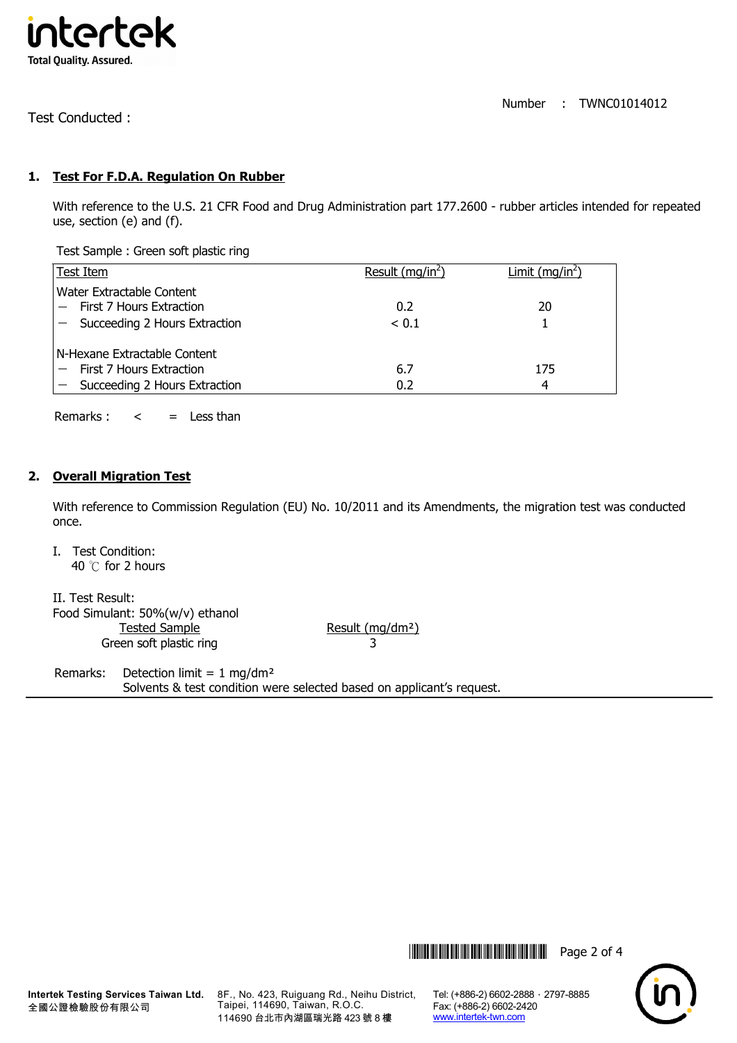

Number : TWNC01014012

Test Conducted :

# **1. Test For F.D.A. Regulation On Rubber**

With reference to the U.S. 21 CFR Food and Drug Administration part 177.2600 - rubber articles intended for repeated use, section (e) and (f).

Test Sample : Green soft plastic ring

|                              | Test Item                                                                                  | Result $(mq/in2)$ | Limit (mg/in <sup>2</sup> ) |  |  |
|------------------------------|--------------------------------------------------------------------------------------------|-------------------|-----------------------------|--|--|
|                              | Water Extractable Content<br>First 7 Hours Extraction<br>$-$ Succeeding 2 Hours Extraction | 0.2<br>< 0.1      | 20                          |  |  |
| N-Hexane Extractable Content |                                                                                            |                   |                             |  |  |
|                              | First 7 Hours Extraction                                                                   | 6.7               | 175                         |  |  |
|                              | $-$ Succeeding 2 Hours Extraction                                                          | 0.2               | 4                           |  |  |

Remarks :  $\lt$  = Less than

## **2. Overall Migration Test**

With reference to Commission Regulation (EU) No. 10/2011 and its Amendments, the migration test was conducted once.

I. Test Condition: 40 ℃ for 2 hours

II. Test Result: Food Simulant: 50%(w/v) ethanol Tested Sample Result (mg/dm<sup>2</sup>) Green soft plastic ring 3

Remarks: Detection limit =  $1 \text{ mg/dm}^2$ Solvents & test condition were selected based on applicant's request.

\*THJ1014012\* Page 2 of 4



8F., No. 423, Ruiguang Rd., Neihu District, Taipei, 114690, Taiwan, R.O.C. 114690 台北市內湖區瑞光路 423 號 8 樓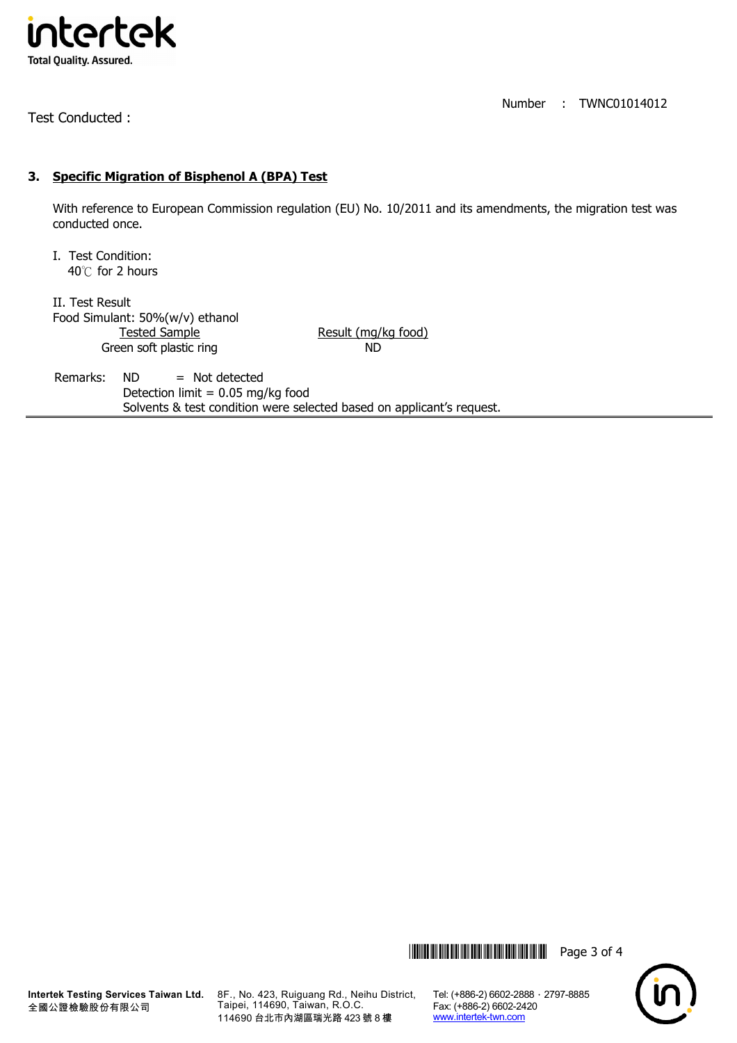

Test Conducted :

Number : TWNC01014012

## **3. Specific Migration of Bisphenol A (BPA) Test**

With reference to European Commission regulation (EU) No. 10/2011 and its amendments, the migration test was conducted once.

I. Test Condition: 40℃ for 2 hours

II. Test Result Food Simulant: 50%(w/v) ethanol Tested Sample Result (mg/kg food) Green soft plastic ring ND

Remarks:  $ND$  = Not detected Detection limit =  $0.05$  mg/kg food Solvents & test condition were selected based on applicant's request.





**Intertek Testing Services Taiwan Ltd.** 全國公證檢驗股份有限公司

8F., No. 423, Ruiguang Rd., Neihu District, Taipei, 114690, Taiwan, R.O.C. 114690 台北市內湖區瑞光路 423 號 8 樓